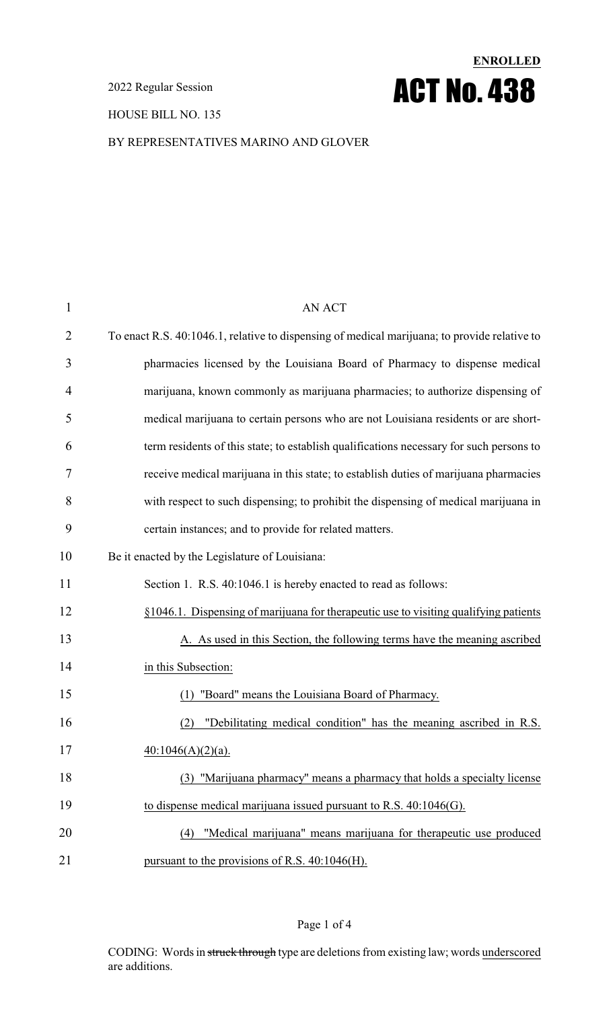2022 Regular Session

HOUSE BILL NO. 135

# **ENROLLED** ACT No. 438

#### BY REPRESENTATIVES MARINO AND GLOVER

| $\mathbf{1}$   | <b>AN ACT</b>                                                                                |
|----------------|----------------------------------------------------------------------------------------------|
| $\overline{2}$ | To enact R.S. 40:1046.1, relative to dispensing of medical marijuana; to provide relative to |
| 3              | pharmacies licensed by the Louisiana Board of Pharmacy to dispense medical                   |
| 4              | marijuana, known commonly as marijuana pharmacies; to authorize dispensing of                |
| 5              | medical marijuana to certain persons who are not Louisiana residents or are short-           |
| 6              | term residents of this state; to establish qualifications necessary for such persons to      |
| 7              | receive medical marijuana in this state; to establish duties of marijuana pharmacies         |
| 8              | with respect to such dispensing; to prohibit the dispensing of medical marijuana in          |
| 9              | certain instances; and to provide for related matters.                                       |
| 10             | Be it enacted by the Legislature of Louisiana:                                               |
| 11             | Section 1. R.S. 40:1046.1 is hereby enacted to read as follows:                              |
| 12             | §1046.1. Dispensing of marijuana for therapeutic use to visiting qualifying patients         |
| 13             | A. As used in this Section, the following terms have the meaning ascribed                    |
| 14             | in this Subsection:                                                                          |
| 15             | "Board" means the Louisiana Board of Pharmacy.<br>(1)                                        |
| 16             | "Debilitating medical condition" has the meaning ascribed in R.S.<br>(2)                     |
| 17             | $40:1046(A)(2)(a)$ .                                                                         |
| 18             | (3) "Marijuana pharmacy" means a pharmacy that holds a specialty license                     |
| 19             | to dispense medical marijuana issued pursuant to R.S. $40:1046(G)$ .                         |
| 20             | "Medical marijuana" means marijuana for therapeutic use produced<br>(4)                      |
| 21             | pursuant to the provisions of R.S. 40:1046(H).                                               |

#### Page 1 of 4

CODING: Words in struck through type are deletions from existing law; words underscored are additions.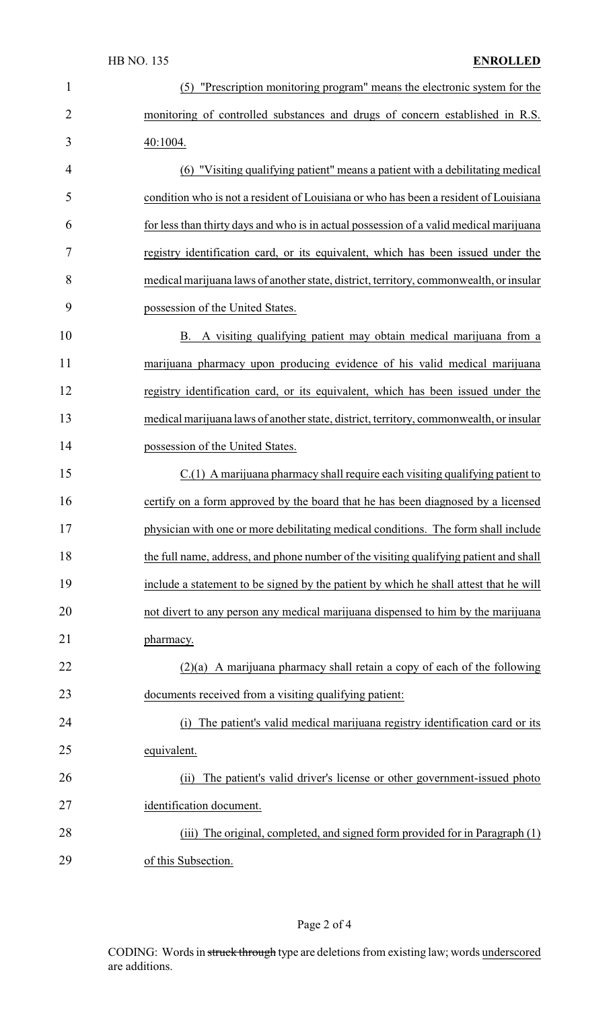| $\mathbf{1}$   | (5) "Prescription monitoring program" means the electronic system for the              |
|----------------|----------------------------------------------------------------------------------------|
| $\overline{2}$ | monitoring of controlled substances and drugs of concern established in R.S.           |
| 3              | 40:1004.                                                                               |
| 4              | (6) "Visiting qualifying patient" means a patient with a debilitating medical          |
| 5              | condition who is not a resident of Louisiana or who has been a resident of Louisiana   |
| 6              | for less than thirty days and who is in actual possession of a valid medical marijuana |
| 7              | registry identification card, or its equivalent, which has been issued under the       |
| 8              | medical marijuana laws of another state, district, territory, commonwealth, or insular |
| 9              | possession of the United States.                                                       |
| 10             | B. A visiting qualifying patient may obtain medical marijuana from a                   |
| 11             | marijuana pharmacy upon producing evidence of his valid medical marijuana              |
| 12             | registry identification card, or its equivalent, which has been issued under the       |
| 13             | medical marijuana laws of another state, district, territory, commonwealth, or insular |
| 14             | possession of the United States.                                                       |
| 15             | C.(1) A marijuana pharmacy shall require each visiting qualifying patient to           |
| 16             | certify on a form approved by the board that he has been diagnosed by a licensed       |
| 17             | physician with one or more debilitating medical conditions. The form shall include     |
| 18             | the full name, address, and phone number of the visiting qualifying patient and shall  |
| 19             | include a statement to be signed by the patient by which he shall attest that he will  |
| 20             | not divert to any person any medical marijuana dispensed to him by the marijuana       |
| 21             | pharmacy.                                                                              |
| 22             | $(2)(a)$ A marijuana pharmacy shall retain a copy of each of the following             |
| 23             | documents received from a visiting qualifying patient:                                 |
| 24             | The patient's valid medical marijuana registry identification card or its<br>(i)       |
| 25             | equivalent.                                                                            |
| 26             | The patient's valid driver's license or other government-issued photo<br>(ii)          |
| 27             | identification document.                                                               |
| 28             | The original, completed, and signed form provided for in Paragraph (1)<br>(iii)        |
| 29             | of this Subsection.                                                                    |

# Page 2 of 4

CODING: Words in struck through type are deletions from existing law; words underscored are additions.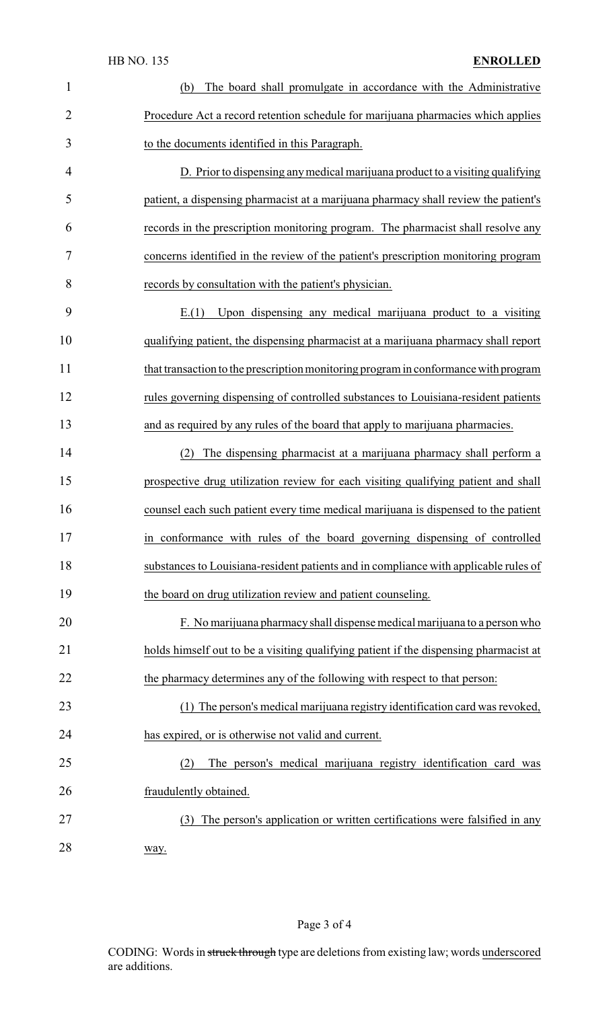#### HB NO. 135 **ENROLLED**

| $\mathbf{1}$   | The board shall promulgate in accordance with the Administrative<br>(b)               |
|----------------|---------------------------------------------------------------------------------------|
| $\overline{2}$ | Procedure Act a record retention schedule for marijuana pharmacies which applies      |
| 3              | to the documents identified in this Paragraph.                                        |
| 4              | D. Prior to dispensing any medical marijuana product to a visiting qualifying         |
| 5              | patient, a dispensing pharmacist at a marijuana pharmacy shall review the patient's   |
| 6              | records in the prescription monitoring program. The pharmacist shall resolve any      |
| 7              | concerns identified in the review of the patient's prescription monitoring program    |
| 8              | records by consultation with the patient's physician.                                 |
| 9              | Upon dispensing any medical marijuana product to a visiting<br>E(1)                   |
| 10             | qualifying patient, the dispensing pharmacist at a marijuana pharmacy shall report    |
| 11             | that transaction to the prescription monitoring program in conformance with program   |
| 12             | rules governing dispensing of controlled substances to Louisiana-resident patients    |
| 13             | and as required by any rules of the board that apply to marijuana pharmacies.         |
| 14             | The dispensing pharmacist at a marijuana pharmacy shall perform a<br>(2)              |
| 15             | prospective drug utilization review for each visiting qualifying patient and shall    |
| 16             | counsel each such patient every time medical marijuana is dispensed to the patient    |
| 17             | in conformance with rules of the board governing dispensing of controlled             |
| 18             | substances to Louisiana-resident patients and in compliance with applicable rules of  |
| 19             | the board on drug utilization review and patient counseling.                          |
| 20             | F. No marijuana pharmacy shall dispense medical marijuana to a person who             |
| 21             | holds himself out to be a visiting qualifying patient if the dispensing pharmacist at |
| 22             | the pharmacy determines any of the following with respect to that person:             |
| 23             | (1) The person's medical marijuana registry identification card was revoked,          |
| 24             | has expired, or is otherwise not valid and current.                                   |
| 25             | (2)<br>The person's medical marijuana registry identification card was                |
| 26             | fraudulently obtained.                                                                |
| 27             | The person's application or written certifications were falsified in any<br>(3)       |
| 28             | way.                                                                                  |

CODING: Words in struck through type are deletions from existing law; words underscored are additions.